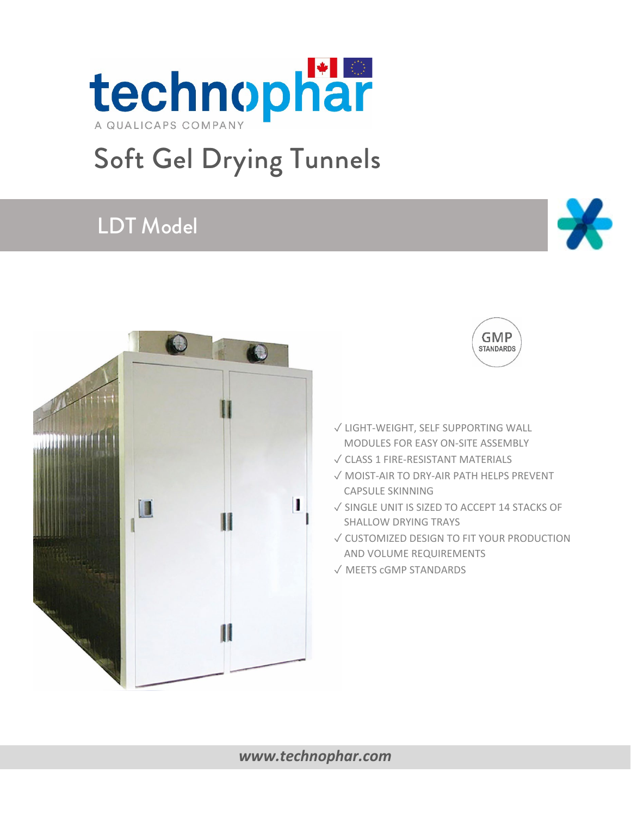

Π



Ш



technophar

 $\bigcirc$ 

11



 $\mathbf{\lambda}$ 

- ✓ LIGHT-WEIGHT, SELF SUPPORTING WALL MODULES FOR EASY ON-SITE ASSEMBLY
- ✓ CLASS 1 FIRE-RESISTANT MATERIALS
- ✓ MOIST-AIR TO DRY-AIR PATH HELPS PREVENT CAPSULE SKINNING
- ✓ SINGLE UNIT IS SIZED TO ACCEPT 14 STACKS OF SHALLOW DRYING TRAYS
- ✓ CUSTOMIZED DESIGN TO FIT YOUR PRODUCTION AND VOLUME REQUIREMENTS
- ✓ MEETS cGMP STANDARDS

#### *[www.technophar.com](http://www.technophar.com/)*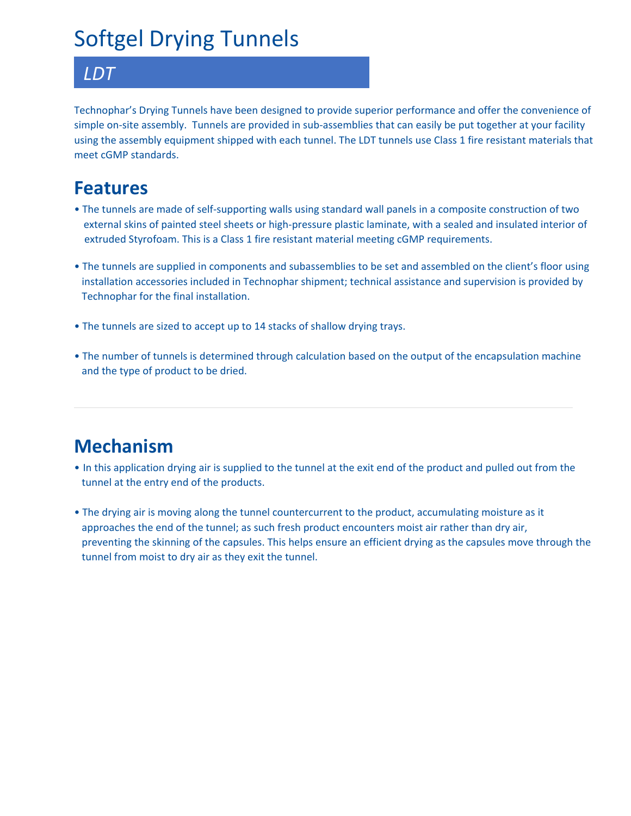# Softgel Drying Tunnels

#### *LDT*

Technophar's Drying Tunnels have been designed to provide superior performance and offer the convenience of simple on-site assembly. Tunnels are provided in sub-assemblies that can easily be put together at your facility using the assembly equipment shipped with each tunnel. The LDT tunnels use Class 1 fire resistant materials that meet cGMP standards.

### **Features**

- The tunnels are made of self-supporting walls using standard wall panels in a composite construction of two external skins of painted steel sheets or high-pressure plastic laminate, with a sealed and insulated interior of extruded Styrofoam. This is a Class 1 fire resistant material meeting cGMP requirements.
- The tunnels are supplied in components and subassemblies to be set and assembled on the client's floor using installation accessories included in Technophar shipment; technical assistance and supervision is provided by Technophar for the final installation.
- The tunnels are sized to accept up to 14 stacks of shallow drying trays.
- The number of tunnels is determined through calculation based on the output of the encapsulation machine and the type of product to be dried.

### **Mechanism**

- In this application drying air is supplied to the tunnel at the exit end of the product and pulled out from the tunnel at the entry end of the products.
- The drying air is moving along the tunnel countercurrent to the product, accumulating moisture as it approaches the end of the tunnel; as such fresh product encounters moist air rather than dry air, preventing the skinning of the capsules. This helps ensure an efficient drying as the capsules move through the tunnel from moist to dry air as they exit the tunnel.